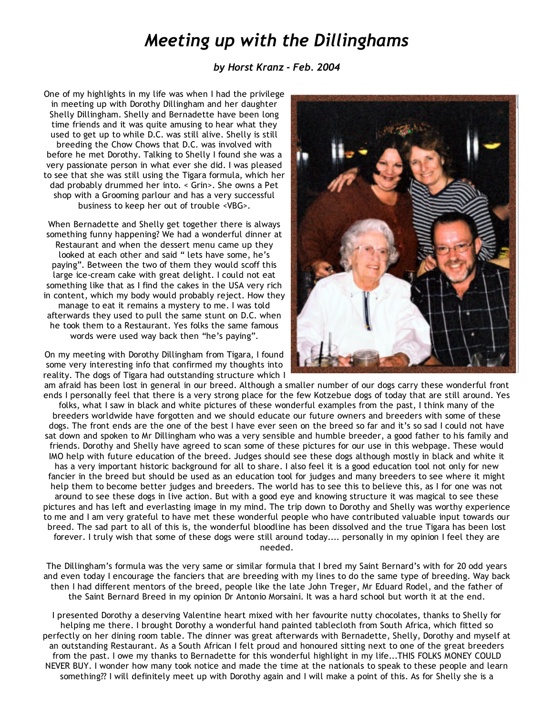## *Meeting up with the Dillinghams*

## *by Horst Kranz ‐ Feb. 2004*

One of my highlights in my life was when I had the privilege in meeting up with Dorothy Dillingham and her daughter Shelly Dillingham. Shelly and Bernadette have been long time friends and it was quite amusing to hear what they used to get up to while D.C. was still alive. Shelly is still breeding the Chow Chows that D.C. was involved with before he met Dorothy. Talking to Shelly I found she was a very passionate person in what ever she did. I was pleased to see that she was still using the Tigara formula, which her dad probably drummed her into. < Grin>. She owns a Pet shop with a Grooming parlour and has a very successful business to keep her out of trouble <VBG>.

When Bernadette and Shelly get together there is always something funny happening? We had a wonderful dinner at Restaurant and when the dessert menu came up they looked at each other and said " lets have some, he's paying". Between the two of them they would scoff this large ice‐cream cake with great delight. I could not eat something like that as I find the cakes in the USA very rich in content, which my body would probably reject. How they manage to eat it remains a mystery to me. I was told afterwards they used to pull the same stunt on D.C. when he took them to a Restaurant. Yes folks the same famous words were used way back then "he's paying".

On my meeting with Dorothy Dillingham from Tigara, I found some very interesting info that confirmed my thoughts into reality. The dogs of Tigara had outstanding structure which I



am afraid has been lost in general in our breed. Although a smaller number of our dogs carry these wonderful front ends I personally feel that there is a very strong place for the few Kotzebue dogs of today that are still around. Yes folks, what I saw in black and white pictures of these wonderful examples from the past, I think many of the breeders worldwide have forgotten and we should educate our future owners and breeders with some of these dogs. The front ends are the one of the best I have ever seen on the breed so far and it's so sad I could not have sat down and spoken to Mr Dillingham who was a very sensible and humble breeder, a good father to his family and friends. Dorothy and Shelly have agreed to scan some of these pictures for our use in this webpage. These would IMO help with future education of the breed. Judges should see these dogs although mostly in black and white it has a very important historic background for all to share. I also feel it is a good education tool not only for new fancier in the breed but should be used as an education tool for judges and many breeders to see where it might help them to become better judges and breeders. The world has to see this to believe this, as I for one was not around to see these dogs in live action. But with a good eye and knowing structure it was magical to see these pictures and has left and everlasting image in my mind. The trip down to Dorothy and Shelly was worthy experience to me and I am very grateful to have met these wonderful people who have contributed valuable input towards our breed. The sad part to all of this is, the wonderful bloodline has been dissolved and the true Tigara has been lost forever. I truly wish that some of these dogs were still around today.... personally in my opinion I feel they are needed.

The Dillingham's formula was the very same or similar formula that I bred my Saint Bernard's with for 20 odd years and even today I encourage the fanciers that are breeding with my lines to do the same type of breeding. Way back then I had different mentors of the breed, people like the late John Treger, Mr Eduard Rodel, and the father of the Saint Bernard Breed in my opinion Dr Antonio Morsaini. It was a hard school but worth it at the end.

I presented Dorothy a deserving Valentine heart mixed with her favourite nutty chocolates, thanks to Shelly for helping me there. I brought Dorothy a wonderful hand painted tablecloth from South Africa, which fitted so perfectly on her dining room table. The dinner was great afterwards with Bernadette, Shelly, Dorothy and myself at an outstanding Restaurant. As a South African I felt proud and honoured sitting next to one of the great breeders from the past. I owe my thanks to Bernadette for this wonderful highlight in my life...THIS FOLKS MONEY COULD NEVER BUY. I wonder how many took notice and made the time at the nationals to speak to these people and learn something?? I will definitely meet up with Dorothy again and I will make a point of this. As for Shelly she is a